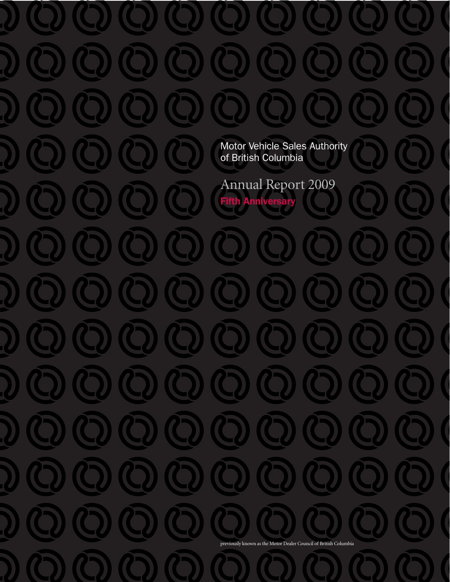Motor Vehicle Sales Authority of British Columbia

Annual Report 2009 Fifth Anniversary

previously known as the Motor Dealer Council of British Columbia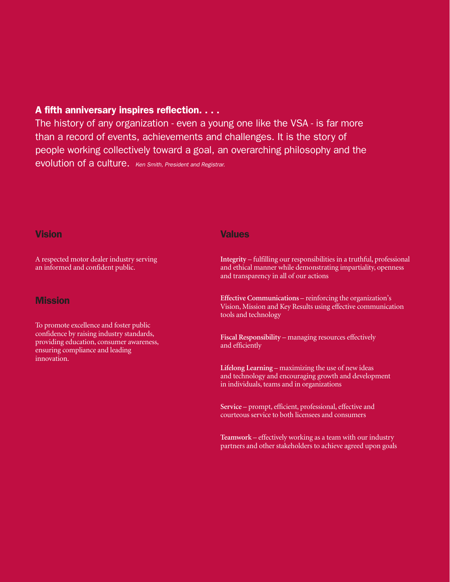## A fifth anniversary inspires reflection. . . .

The history of any organization - even a young one like the VSA - is far more than a record of events, achievements and challenges. It is the story of people working collectively toward a goal, an overarching philosophy and the evolution of a culture. Ken Smith, President and Registrar.

### **Vision**

A respected motor dealer industry serving an informed and confident public.

### **Mission**

To promote excellence and foster public confidence by raising industry standards, providing education, consumer awareness, ensuring compliance and leading innovation.

### Values

**Integrity** – fulfilling our responsibilities in a truthful, professional and ethical manner while demonstrating impartiality, openness and transparency in all of our actions

**Effective Communications** – reinforcing the organization's Vision, Mission and Key Results using effective communication tools and technology

**Fiscal Responsibility** – managing resources effectively and efficiently

**Lifelong Learning** – maximizing the use of new ideas and technology and encouraging growth and development in individuals, teams and in organizations

**Service** – prompt, efficient, professional, effective and courteous service to both licensees and consumers

**Teamwork** – effectively working as a team with our industry partners and other stakeholders to achieve agreed upon goals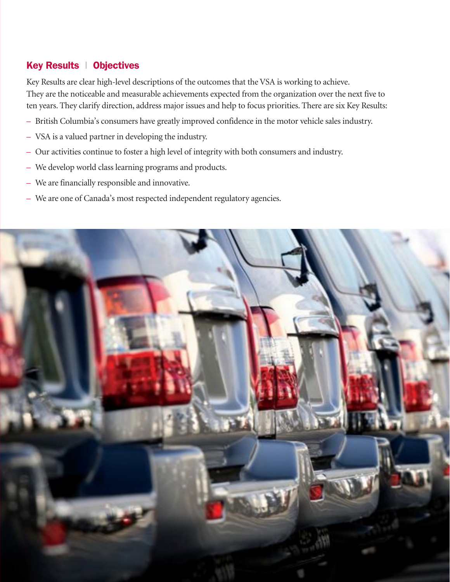# Key Results | Objectives

Key Results are clear high-level descriptions of the outcomes that the VSA is working to achieve. They are the noticeable and measurable achievements expected from the organization over the next five to ten years. They clarify direction, address major issues and help to focus priorities. There are six Key Results:

- British Columbia's consumers have greatly improved confidence in the motor vehicle sales industry.
- VSA is a valued partner in developing the industry.
- Our activities continue to foster a high level of integrity with both consumers and industry.
- We develop world class learning programs and products.
- We are financially responsible and innovative.
- We are one of Canada's most respected independent regulatory agencies.

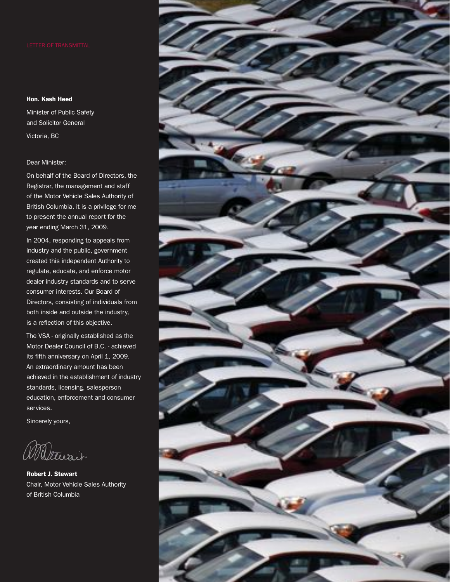#### Hon. Kash Heed

Minister of Public Safety and Solicitor General Victoria, BC

#### Dear Minister:

On behalf of the Board of Directors, the Registrar, the management and staff of the Motor Vehicle Sales Authority of British Columbia, it is a privilege for me to present the annual report for the year ending March 31, 2009.

In 2004, responding to appeals from industry and the public, government created this independent Authority to regulate, educate, and enforce motor dealer industry standards and to serve consumer interests. Our Board of Directors, consisting of individuals from both inside and outside the industry, is a reflection of this objective.

The VSA - originally established as the Motor Dealer Council of B.C. - achieved its fifth anniversary on April 1, 2009. An extraordinary amount has been achieved in the establishment of industry standards, licensing, salesperson education, enforcement and consumer services.

Sincerely yours,

William

Robert J. Stewart Chair, Motor Vehicle Sales Authority of British Columbia

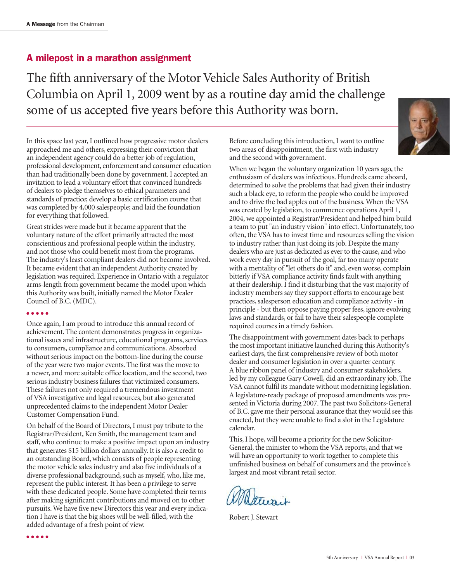### A milepost in a marathon assignment

The fifth anniversary of the Motor Vehicle Sales Authority of British Columbia on April 1, 2009 went by as a routine day amid the challenge some of us accepted five years before this Authority was born.



In this space last year, I outlined how progressive motor dealers approached me and others, expressing their conviction that an independent agency could do a better job of regulation, professional development, enforcement and consumer education than had traditionally been done by government. I accepted an invitation to lead a voluntary effort that convinced hundreds of dealers to pledge themselves to ethical parameters and standards of practice; develop a basic certification course that was completed by 4,000 salespeople; and laid the foundation for everything that followed.

Great strides were made but it became apparent that the voluntary nature of the effort primarily attracted the most conscientious and professional people within the industry, and not those who could benefit most from the programs. The industry's least compliant dealers did not become involved. It became evident that an independent Authority created by legislation was required. Experience in Ontario with a regulator arms-length from government became the model upon which this Authority was built, initially named the Motor Dealer Council of B.C. (MDC).

#### ● ● ● ● ●

● ● ● ● ●

Once again, I am proud to introduce this annual record of achievement. The content demonstrates progress in organizational issues and infrastructure, educational programs, services to consumers, compliance and communications. Absorbed without serious impact on the bottom-line during the course of the year were two major events. The first was the move to a newer, and more suitable office location, and the second, two serious industry business failures that victimized consumers. These failures not only required a tremendous investment of VSA investigative and legal resources, but also generated unprecedented claims to the independent Motor Dealer Customer Compensation Fund.

On behalf of the Board of Directors, I must pay tribute to the Registrar/President, Ken Smith, the management team and staff, who continue to make a positive impact upon an industry that generates \$15 billion dollars annually. It is also a credit to an outstanding Board, which consists of people representing the motor vehicle sales industry and also five individuals of a diverse professional background, such as myself, who, like me, represent the public interest. It has been a privilege to serve with these dedicated people. Some have completed their terms after making significant contributions and moved on to other pursuits. We have five new Directors this year and every indication I have is that the big shoes will be well-filled, with the added advantage of a fresh point of view.

Before concluding this introduction, I want to outline two areas of disappointment, the first with industry and the second with government.

When we began the voluntary organization 10 years ago, the enthusiasm of dealers was infectious. Hundreds came aboard, determined to solve the problems that had given their industry such a black eye, to reform the people who could be improved and to drive the bad apples out of the business. When the VSA was created by legislation, to commence operations April 1, 2004, we appointed a Registrar/President and helped him build a team to put "an industry vision" into effect. Unfortunately, too often, the VSA has to invest time and resources selling the vision to industry rather than just doing its job. Despite the many dealers who are just as dedicated as ever to the cause, and who work every day in pursuit of the goal, far too many operate with a mentality of "let others do it" and, even worse, complain bitterly if VSA compliance activity finds fault with anything at their dealership. I find it disturbing that the vast majority of industry members say they support efforts to encourage best practices, salesperson education and compliance activity - in principle - but then oppose paying proper fees, ignore evolving laws and standards, or fail to have their salespeople complete required courses in a timely fashion.

The disappointment with government dates back to perhaps the most important initiative launched during this Authority's earliest days, the first comprehensive review of both motor dealer and consumer legislation in over a quarter century. A blue ribbon panel of industry and consumer stakeholders, led by my colleague Gary Cowell, did an extraordinary job. The VSA cannot fulfil its mandate without modernizing legislation. A legislature-ready package of proposed amendments was presented in Victoria during 2007. The past two Solicitors-General of B.C. gave me their personal assurance that they would see this enacted, but they were unable to find a slot in the Legislature calendar.

This, I hope, will become a priority for the new Solicitor-General, the minister to whom the VSA reports, and that we will have an opportunity to work together to complete this unfinished business on behalf of consumers and the province's largest and most vibrant retail sector.

Robert J. Stewart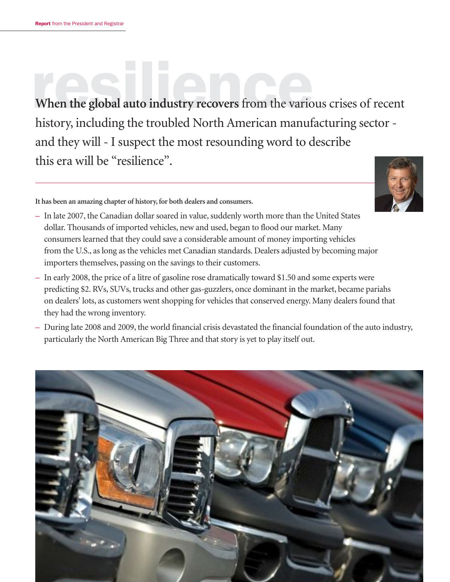When the global auto industry recovers from the various crises of recent history, including the troubled North American manufacturing sector and they will - I suspect the most resounding word to describe this era will be "resilience".

**It has been an amazing chapter of history, for both dealers and consumers.**



- In late 2007, the Canadian dollar soared in value, suddenly worth more than the United States dollar. Thousands of imported vehicles, new and used, began to flood our market. Many consumers learned that they could save a considerable amount of money importing vehicles from the U.S., as long as the vehicles met Canadian standards. Dealers adjusted by becoming major importers themselves, passing on the savings to their customers.
- In early 2008, the price of a litre of gasoline rose dramatically toward \$1.50 and some experts were predicting \$2. RVs, SUVs, trucks and other gas-guzzlers, once dominant in the market, became pariahs on dealers' lots, as customers went shopping for vehicles that conserved energy. Many dealers found that they had the wrong inventory.
- During late 2008 and 2009, the world financial crisis devastated the financial foundation of the auto industry, particularly the North American Big Three and that story is yet to play itself out.

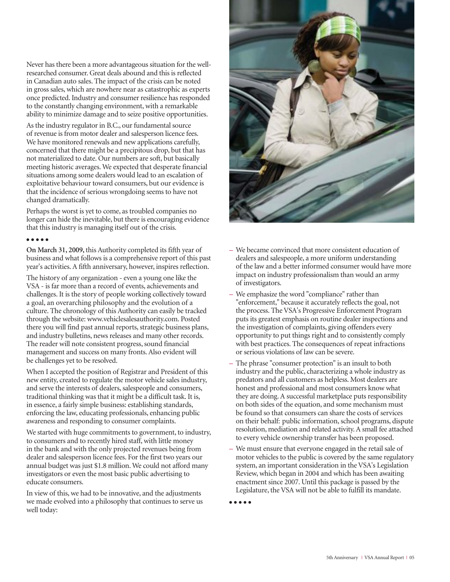Never has there been a more advantageous situation for the wellresearched consumer. Great deals abound and this is reflected in Canadian auto sales. The impact of the crisis can be noted in gross sales, which are nowhere near as catastrophic as experts once predicted. Industry and consumer resilience has responded to the constantly changing environment, with a remarkable ability to minimize damage and to seize positive opportunities.

As the industry regulator in B.C., our fundamental source of revenue is from motor dealer and salesperson licence fees. We have monitored renewals and new applications carefully, concerned that there might be a precipitous drop, but that has not materialized to date. Our numbers are soft, but basically meeting historic averages. We expected that desperate financial situations among some dealers would lead to an escalation of exploitative behaviour toward consumers, but our evidence is that the incidence of serious wrongdoing seems to have not changed dramatically.

Perhaps the worst is yet to come, as troubled companies no longer can hide the inevitable, but there is encouraging evidence that this industry is managing itself out of the crisis.

#### ● ● ● ● ●

**On March 31, 2009,** this Authority completed its fifth year of business and what follows is a comprehensive report of this past year's activities. A fifth anniversary, however, inspires reflection.

The history of any organization - even a young one like the VSA - is far more than a record of events, achievements and challenges. It is the story of people working collectively toward a goal, an overarching philosophy and the evolution of a culture. The chronology of this Authority can easily be tracked through the website: www.vehiclesalesauthority.com. Posted there you will find past annual reports, strategic business plans, and industry bulletins, news releases and many other records. The reader will note consistent progress, sound financial management and success on many fronts. Also evident will be challenges yet to be resolved.

When I accepted the position of Registrar and President of this new entity, created to regulate the motor vehicle sales industry, and serve the interests of dealers, salespeople and consumers, traditional thinking was that it might be a difficult task. It is, in essence, a fairly simple business: establishing standards, enforcing the law, educating professionals, enhancing public awareness and responding to consumer complaints.

We started with huge commitments to government, to industry, to consumers and to recently hired staff, with little money in the bank and with the only projected revenues being from dealer and salesperson licence fees. For the first two years our annual budget was just \$1.8 million. We could not afford many investigators or even the most basic public advertising to educate consumers.

In view of this, we had to be innovative, and the adjustments we made evolved into a philosophy that continues to serve us well today:

![](_page_6_Picture_9.jpeg)

- We became convinced that more consistent education of dealers and salespeople, a more uniform understanding of the law and a better informed consumer would have more impact on industry professionalism than would an army of investigators.
- We emphasize the word "compliance" rather than "enforcement," because it accurately reflects the goal, not the process. The VSA's Progressive Enforcement Program puts its greatest emphasis on routine dealer inspections and the investigation of complaints, giving offenders every opportunity to put things right and to consistently comply with best practices. The consequences of repeat infractions or serious violations of law can be severe.
- The phrase "consumer protection" is an insult to both industry and the public, characterizing a whole industry as predators and all customers as helpless. Most dealers are honest and professional and most consumers know what they are doing. A successful marketplace puts responsibility on both sides of the equation, and some mechanism must be found so that consumers can share the costs of services on their behalf: public information, school programs, dispute resolution, mediation and related activity. A small fee attached to every vehicle ownership transfer has been proposed.
- We must ensure that everyone engaged in the retail sale of motor vehicles to the public is covered by the same regulatory system, an important consideration in the VSA's Legislation Review, which began in 2004 and which has been awaiting enactment since 2007. Until this package is passed by the Legislature, the VSA will not be able to fulfill its mandate.

● ● ● ● ●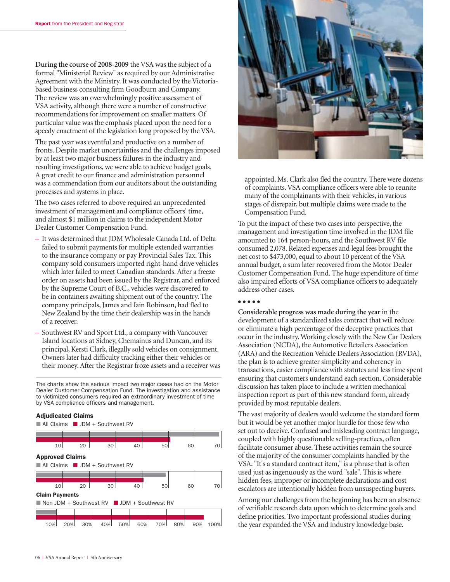**During the course of 2008-2009** the VSA was the subject of a formal "Ministerial Review" as required by our Administrative Agreement with the Ministry. It was conducted by the Victoriabased business consulting firm Goodburn and Company. The review was an overwhelmingly positive assessment of VSA activity, although there were a number of constructive recommendations for improvement on smaller matters. Of particular value was the emphasis placed upon the need for a speedy enactment of the legislation long proposed by the VSA.

The past year was eventful and productive on a number of fronts. Despite market uncertainties and the challenges imposed by at least two major business failures in the industry and resulting investigations, we were able to achieve budget goals. A great credit to our finance and administration personnel was a commendation from our auditors about the outstanding processes and systems in place.

The two cases referred to above required an unprecedented investment of management and compliance officers' time, and almost \$1 million in claims to the independent Motor Dealer Customer Compensation Fund.

- It was determined that JDM Wholesale Canada Ltd. of Delta failed to submit payments for multiple extended warranties to the insurance company or pay Provincial Sales Tax. This company sold consumers imported right-hand drive vehicles which later failed to meet Canadian standards. After a freeze order on assets had been issued by the Registrar, and enforced by the Supreme Court of B.C., vehicles were discovered to be in containers awaiting shipment out of the country. The company principals, James and Iain Robinson, had fled to New Zealand by the time their dealership was in the hands of a receiver.
- Southwest RV and Sport Ltd., a company with Vancouver Island locations at Sidney, Chemainus and Duncan, and its principal, Kersti Clark, illegally sold vehicles on consignment. Owners later had difficulty tracking either their vehicles or their money. After the Registrar froze assets and a receiver was

The charts show the serious impact two major cases had on the Motor Dealer Customer Compensation Fund. The investigation and assistance to victimized consumers required an extraordinary investment of time by VSA compliance officers and management.

#### Adjudicated Claims

■ All Claims ■ JDM + Southwest RV

![](_page_7_Figure_9.jpeg)

![](_page_7_Picture_10.jpeg)

appointed, Ms. Clark also fled the country. There were dozens of complaints. VSA compliance officers were able to reunite many of the complainants with their vehicles, in various stages of disrepair, but multiple claims were made to the Compensation Fund.

To put the impact of these two cases into perspective, the management and investigation time involved in the JDM file amounted to 164 person-hours, and the Southwest RV file consumed 2,078. Related expenses and legal fees brought the net cost to \$473,000, equal to about 10 percent of the VSA annual budget, a sum later recovered from the Motor Dealer Customer Compensation Fund. The huge expenditure of time also impaired efforts of VSA compliance officers to adequately address other cases.

#### ● ● ● ● ●

**Considerable progress was made during the year** in the development of a standardized sales contract that will reduce or eliminate a high percentage of the deceptive practices that occur in the industry. Working closely with the New Car Dealers Association (NCDA), the Automotive Retailers Association (ARA) and the Recreation Vehicle Dealers Association (RVDA), the plan is to achieve greater simplicity and coherency in transactions, easier compliance with statutes and less time spent ensuring that customers understand each section. Considerable discussion has taken place to include a written mechanical inspection report as part of this new standard form, already provided by most reputable dealers.

The vast majority of dealers would welcome the standard form but it would be yet another major hurdle for those few who set out to deceive. Confused and misleading contract language, coupled with highly questionable selling-practices, often facilitate consumer abuse. These activities remain the source of the majority of the consumer complaints handled by the VSA. "It's a standard contract item," is a phrase that is often used just as ingenuously as the word "sale". This is where hidden fees, improper or incomplete declarations and cost escalators are intentionally hidden from unsuspecting buyers.

Among our challenges from the beginning has been an absence of verifiable research data upon which to determine goals and define priorities. Two important professional studies during the year expanded the VSA and industry knowledge base.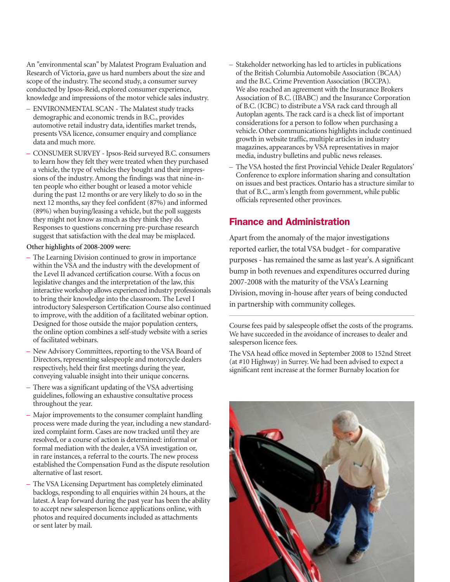An "environmental scan" by Malatest Program Evaluation and Research of Victoria, gave us hard numbers about the size and scope of the industry. The second study, a consumer survey conducted by Ipsos-Reid, explored consumer experience, knowledge and impressions of the motor vehicle sales industry.

- ENVIRONMENTAL SCAN The Malatest study tracks demographic and economic trends in B.C., provides automotive retail industry data, identifies market trends, presents VSA licence, consumer enquiry and compliance data and much more.
- CONSUMER SURVEY Ipsos-Reid surveyed B.C. consumers to learn how they felt they were treated when they purchased a vehicle, the type of vehicles they bought and their impressions of the industry. Among the findings was that nine-inten people who either bought or leased a motor vehicle during the past 12 months or are very likely to do so in the next 12 months, say they feel confident (87%) and informed (89%) when buying/leasing a vehicle, but the poll suggests they might not know as much as they think they do. Responses to questions concerning pre-purchase research suggest that satisfaction with the deal may be misplaced.

#### **Other highlights of 2008-2009 were:**

- The Learning Division continued to grow in importance within the VSA and the industry with the development of the Level II advanced certification course. With a focus on legislative changes and the interpretation of the law, this interactive workshop allows experienced industry professionals to bring their knowledge into the classroom. The Level I introductory Salesperson Certification Course also continued to improve, with the addition of a facilitated webinar option. Designed for those outside the major population centers, the online option combines a self-study website with a series of facilitated webinars.
- New Advisory Committees, reporting to the VSA Board of Directors, representing salespeople and motorcycle dealers respectively, held their first meetings during the year, conveying valuable insight into their unique concerns.
- There was a significant updating of the VSA advertising guidelines, following an exhaustive consultative process throughout the year.
- Major improvements to the consumer complaint handling process were made during the year, including a new standardized complaint form. Cases are now tracked until they are resolved, or a course of action is determined: informal or formal mediation with the dealer, a VSA investigation or, in rare instances, a referral to the courts. The new process established the Compensation Fund as the dispute resolution alternative of last resort.
- The VSA Licensing Department has completely eliminated backlogs, responding to all enquiries within 24 hours, at the latest. A leap forward during the past year has been the ability to accept new salesperson licence applications online, with photos and required documents included as attachments or sent later by mail.
- Stakeholder networking has led to articles in publications of the British Columbia Automobile Association (BCAA) and the B.C. Crime Prevention Association (BCCPA). We also reached an agreement with the Insurance Brokers Association of B.C. (IBABC) and the Insurance Corporation of B.C. (ICBC) to distribute a VSA rack card through all Autoplan agents. The rack card is a check list of important considerations for a person to follow when purchasing a vehicle. Other communications highlights include continued growth in website traffic, multiple articles in industry magazines, appearances by VSA representatives in major media, industry bulletins and public news releases.
- The VSA hosted the first Provincial Vehicle Dealer Regulators' Conference to explore information sharing and consultation on issues and best practices. Ontario has a structure similar to that of B.C., arm's length from government, while public officials represented other provinces.

# Finance and Administration

Apart from the anomaly of the major investigations reported earlier, the total VSA budget - for comparative purposes - has remained the same as last year's. A significant bump in both revenues and expenditures occurred during 2007-2008 with the maturity of the VSA's Learning Division, moving in-house after years of being conducted in partnership with community colleges.

Course fees paid by salespeople offset the costs of the programs. We have succeeded in the avoidance of increases to dealer and salesperson licence fees.

The VSA head office moved in September 2008 to 152nd Street (at #10 Highway) in Surrey. We had been advised to expect a significant rent increase at the former Burnaby location for

![](_page_8_Picture_15.jpeg)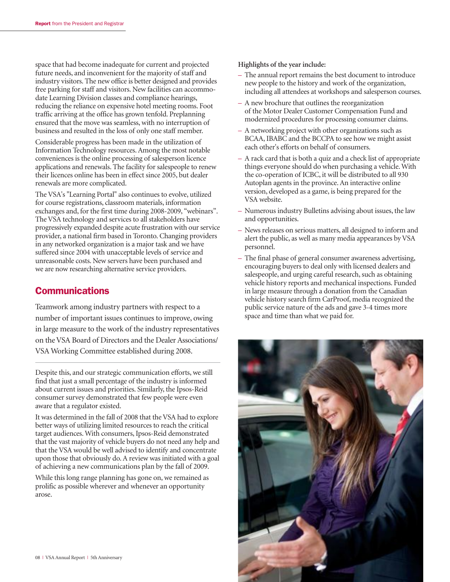space that had become inadequate for current and projected future needs, and inconvenient for the majority of staff and industry visitors. The new office is better designed and provides free parking for staff and visitors. New facilities can accommodate Learning Division classes and compliance hearings, reducing the reliance on expensive hotel meeting rooms. Foot traffic arriving at the office has grown tenfold. Preplanning ensured that the move was seamless, with no interruption of business and resulted in the loss of only one staff member.

Considerable progress has been made in the utilization of Information Technology resources. Among the most notable conveniences is the online processing of salesperson licence applications and renewals. The facility for salespeople to renew their licences online has been in effect since 2005, but dealer renewals are more complicated.

The VSA's "Learning Portal" also continues to evolve, utilized for course registrations, classroom materials, information exchanges and, for the first time during 2008-2009, "webinars". The VSA technology and services to all stakeholders have progressively expanded despite acute frustration with our service provider, a national firm based in Toronto. Changing providers in any networked organization is a major task and we have suffered since 2004 with unacceptable levels of service and unreasonable costs. New servers have been purchased and we are now researching alternative service providers.

### **Communications**

Teamwork among industry partners with respect to a number of important issues continues to improve, owing in large measure to the work of the industry representatives on the VSA Board of Directors and the Dealer Associations/ VSA Working Committee established during 2008.

Despite this, and our strategic communication efforts, we still find that just a small percentage of the industry is informed about current issues and priorities. Similarly, the Ipsos-Reid consumer survey demonstrated that few people were even aware that a regulator existed.

It was determined in the fall of 2008 that the VSA had to explore better ways of utilizing limited resources to reach the critical target audiences. With consumers, Ipsos-Reid demonstrated that the vast majority of vehicle buyers do not need any help and that the VSA would be well advised to identify and concentrate upon those that obviously do. A review was initiated with a goal of achieving a new communications plan by the fall of 2009.

While this long range planning has gone on, we remained as prolific as possible wherever and whenever an opportunity arose.

#### **Highlights of the year include:**

- The annual report remains the best document to introduce new people to the history and work of the organization, including all attendees at workshops and salesperson courses.
- A new brochure that outlines the reorganization of the Motor Dealer Customer Compensation Fund and modernized procedures for processing consumer claims.
- A networking project with other organizations such as BCAA, IBABC and the BCCPA to see how we might assist each other's efforts on behalf of consumers.
- A rack card that is both a quiz and a check list of appropriate things everyone should do when purchasing a vehicle. With the co-operation of ICBC, it will be distributed to all 930 Autoplan agents in the province. An interactive online version, developed as a game, is being prepared for the VSA website.
- Numerous industry Bulletins advising about issues, the law and opportunities.
- News releases on serious matters, all designed to inform and alert the public, as well as many media appearances by VSA personnel.
- The final phase of general consumer awareness advertising, encouraging buyers to deal only with licensed dealers and salespeople, and urging careful research, such as obtaining vehicle history reports and mechanical inspections. Funded in large measure through a donation from the Canadian vehicle history search firm CarProof, media recognized the public service nature of the ads and gave 3-4 times more space and time than what we paid for.

![](_page_9_Picture_17.jpeg)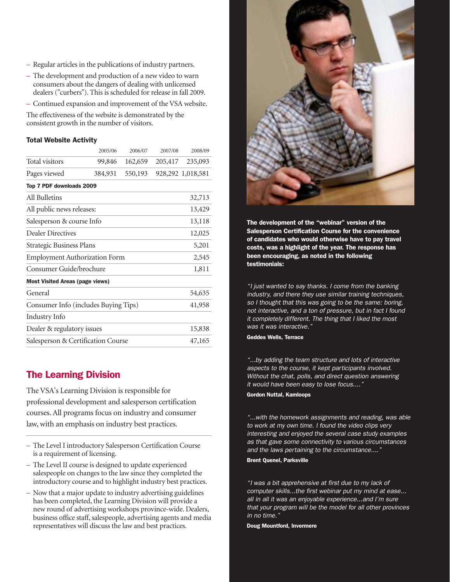- Regular articles in the publications of industry partners.
- The development and production of a new video to warn consumers about the dangers of dealing with unlicensed dealers ("curbers"). This is scheduled for release in fall 2009.
- Continued expansion and improvement of the VSA website.

The effectiveness of the website is demonstrated by the consistent growth in the number of visitors.

#### Total Website Activity

|                                        | 2005/06 | 2006/07 | 2007/08 | 2008/09           |
|----------------------------------------|---------|---------|---------|-------------------|
| Total visitors                         | 99,846  | 162,659 | 205,417 | 235,093           |
| Pages viewed                           | 384,931 | 550,193 |         | 928,292 1,018,581 |
| Top 7 PDF downloads 2009               |         |         |         |                   |
| All Bulletins                          |         |         |         | 32,713            |
| All public news releases:              |         | 13,429  |         |                   |
| Salesperson & course Info              |         | 13,118  |         |                   |
| <b>Dealer Directives</b>               |         | 12,025  |         |                   |
| Strategic Business Plans               |         | 5,201   |         |                   |
| <b>Employment Authorization Form</b>   |         |         |         | 2,545             |
| Consumer Guide/brochure                |         |         |         | 1,811             |
| <b>Most Visited Areas (page views)</b> |         |         |         |                   |
| General                                |         |         |         | 54,635            |
| Consumer Info (includes Buying Tips)   |         | 41,958  |         |                   |
| Industry Info                          |         |         |         |                   |
| Dealer & regulatory issues             |         |         |         | 15,838            |
| Salesperson & Certification Course     |         |         |         | 47,165            |
|                                        |         |         |         |                   |

# The Learning Division

The VSA's Learning Division is responsible for professional development and salesperson certification courses. All programs focus on industry and consumer law, with an emphasis on industry best practices.

- The Level I introductory Salesperson Certification Course is a requirement of licensing.
- The Level II course is designed to update experienced salespeople on changes to the law since they completed the introductory course and to highlight industry best practices.
- Now that a major update to industry advertising guidelines has been completed, the Learning Division will provide a new round of advertising workshops province-wide. Dealers, business office staff, salespeople, advertising agents and media representatives will discuss the law and best practices.

![](_page_10_Picture_11.jpeg)

The development of the "webinar" version of the Salesperson Certification Course for the convenience of candidates who would otherwise have to pay travel costs, was a highlight of the year. The response has been encouraging, as noted in the following testimonials:

"I just wanted to say thanks. I come from the banking industry, and there they use similar training techniques, so I thought that this was going to be the same: boring, not interactive, and a ton of pressure, but in fact I found it completely different. The thing that I liked the most was it was interactive."

Geddes Wells, Terrace

"...by adding the team structure and lots of interactive aspects to the course, it kept participants involved. Without the chat, polls, and direct question answering it would have been easy to lose focus...."

### Gordon Nuttal, Kamloops

"...with the homework assignments and reading, was able to work at my own time. I found the video clips very interesting and enjoyed the several case study examples as that gave some connectivity to various circumstances and the laws pertaining to the circumstance...."

#### Brent Quenel, Parksville

"I was a bit apprehensive at first due to my lack of computer skills...the first webinar put my mind at ease... all in all it was an enjoyable experience...and I'm sure that your program will be the model for all other provinces in no time."

Doug Mountford, Invermere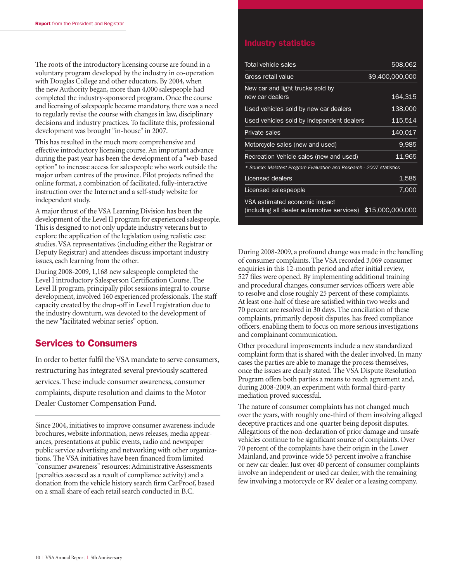The roots of the introductory licensing course are found in a voluntary program developed by the industry in co-operation with Douglas College and other educators. By 2004, when the new Authority began, more than 4,000 salespeople had completed the industry-sponsored program. Once the course and licensing of salespeople became mandatory, there was a need to regularly revise the course with changes in law, disciplinary decisions and industry practices. To facilitate this, professional development was brought "in-house" in 2007.

This has resulted in the much more comprehensive and effective introductory licensing course. An important advance during the past year has been the development of a "web-based option" to increase access for salespeople who work outside the major urban centres of the province. Pilot projects refined the online format, a combination of facilitated, fully-interactive instruction over the Internet and a self-study website for independent study.

A major thrust of the VSA Learning Division has been the development of the Level II program for experienced salespeople. This is designed to not only update industry veterans but to explore the application of the legislation using realistic case studies. VSA representatives (including either the Registrar or Deputy Registrar) and attendees discuss important industry issues, each learning from the other.

During 2008-2009, 1,168 new salespeople completed the Level I introductory Salesperson Certification Course. The Level II program, principally pilot sessions integral to course development, involved 160 experienced professionals. The staff capacity created by the drop-off in Level I registration due to the industry downturn, was devoted to the development of the new "facilitated webinar series" option.

### Services to Consumers

In order to better fulfil the VSA mandate to serve consumers, restructuring has integrated several previously scattered services. These include consumer awareness, consumer complaints, dispute resolution and claims to the Motor Dealer Customer Compensation Fund.

Since 2004, initiatives to improve consumer awareness include brochures, website information, news releases, media appearances, presentations at public events, radio and newspaper public service advertising and networking with other organizations. The VSA initiatives have been financed from limited "consumer awareness" resources: Administrative Assessments (penalties assessed as a result of compliance activity) and a donation from the vehicle history search firm CarProof, based on a small share of each retail search conducted in B.C.

| Total vehicle sales                                                         | 508,062          |
|-----------------------------------------------------------------------------|------------------|
| Gross retail value                                                          | \$9,400,000,000  |
| New car and light trucks sold by<br>new car dealers                         | 164,315          |
| Used vehicles sold by new car dealers                                       | 138,000          |
| Used vehicles sold by independent dealers                                   | 115,514          |
| <b>Private sales</b>                                                        | 140,017          |
| Motorcycle sales (new and used)                                             | 9,985            |
| Recreation Vehicle sales (new and used)                                     | 11,965           |
| * Source: Malatest Program Evaluation and Research - 2007 statistics        |                  |
| Licensed dealers                                                            | 1,585            |
| Licensed salespeople                                                        | 7.000            |
| VSA estimated economic impact<br>(including all dealer automotive services) | \$15,000,000,000 |

During 2008-2009, a profound change was made in the handling of consumer complaints. The VSA recorded 3,069 consumer enquiries in this 12-month period and after initial review, 527 files were opened. By implementing additional training and procedural changes, consumer services officers were able to resolve and close roughly 25 percent of these complaints. At least one-half of these are satisfied within two weeks and 70 percent are resolved in 30 days. The conciliation of these complaints, primarily deposit disputes, has freed compliance officers, enabling them to focus on more serious investigations and complainant communication.

Other procedural improvements include a new standardized complaint form that is shared with the dealer involved. In many cases the parties are able to manage the process themselves, once the issues are clearly stated. The VSA Dispute Resolution Program offers both parties a means to reach agreement and, during 2008-2009, an experiment with formal third-party mediation proved successful.

The nature of consumer complaints has not changed much over the years, with roughly one-third of them involving alleged deceptive practices and one-quarter being deposit disputes. Allegations of the non-declaration of prior damage and unsafe vehicles continue to be significant source of complaints. Over 70 percent of the complaints have their origin in the Lower Mainland, and province-wide 55 percent involve a franchise or new car dealer. Just over 40 percent of consumer complaints involve an independent or used car dealer, with the remaining few involving a motorcycle or RV dealer or a leasing company.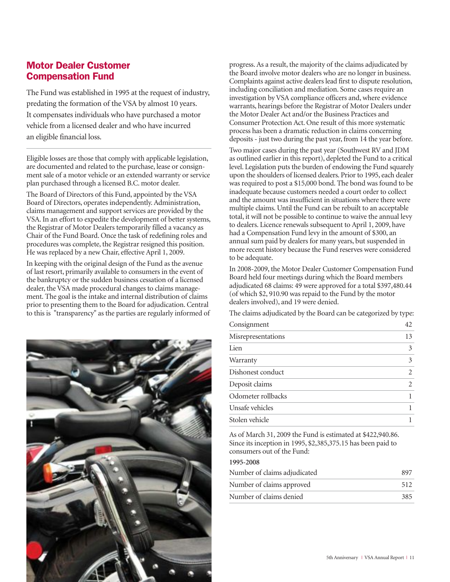# Motor Dealer Customer Compensation Fund

The Fund was established in 1995 at the request of industry, predating the formation of the VSA by almost 10 years. It compensates individuals who have purchased a motor vehicle from a licensed dealer and who have incurred an eligible financial loss.

Eligible losses are those that comply with applicable legislation, are documented and related to the purchase, lease or consignment sale of a motor vehicle or an extended warranty or service plan purchased through a licensed B.C. motor dealer.

The Board of Directors of this Fund, appointed by the VSA Board of Directors, operates independently. Administration, claims management and support services are provided by the VSA. In an effort to expedite the development of better systems, the Registrar of Motor Dealers temporarily filled a vacancy as Chair of the Fund Board. Once the task of redefining roles and procedures was complete, the Registrar resigned this position. He was replaced by a new Chair, effective April 1, 2009.

In keeping with the original design of the Fund as the avenue of last resort, primarily available to consumers in the event of the bankruptcy or the sudden business cessation of a licensed dealer, the VSA made procedural changes to claims management. The goal is the intake and internal distribution of claims prior to presenting them to the Board for adjudication. Central to this is "transparency" as the parties are regularly informed of

![](_page_12_Picture_5.jpeg)

progress. As a result, the majority of the claims adjudicated by the Board involve motor dealers who are no longer in business. Complaints against active dealers lead first to dispute resolution, including conciliation and mediation. Some cases require an investigation by VSA compliance officers and, where evidence warrants, hearings before the Registrar of Motor Dealers under the Motor Dealer Act and/or the Business Practices and Consumer Protection Act. One result of this more systematic process has been a dramatic reduction in claims concerning deposits - just two during the past year, from 14 the year before.

Two major cases during the past year (Southwest RV and JDM as outlined earlier in this report), depleted the Fund to a critical level. Legislation puts the burden of endowing the Fund squarely upon the shoulders of licensed dealers. Prior to 1995, each dealer was required to post a \$15,000 bond. The bond was found to be inadequate because customers needed a court order to collect and the amount was insufficient in situations where there were multiple claims. Until the Fund can be rebuilt to an acceptable total, it will not be possible to continue to waive the annual levy to dealers. Licence renewals subsequent to April 1, 2009, have had a Compensation Fund levy in the amount of \$300, an annual sum paid by dealers for many years, but suspended in more recent history because the Fund reserves were considered to be adequate.

In 2008-2009, the Motor Dealer Customer Compensation Fund Board held four meetings during which the Board members adjudicated 68 claims: 49 were approved for a total \$397,480.44 (of which \$2, 910.90 was repaid to the Fund by the motor dealers involved), and 19 were denied.

The claims adjudicated by the Board can be categorized by type:

| Consignment        | 42             |
|--------------------|----------------|
| Misrepresentations | 13             |
| Lien               | 3              |
| Warranty           | 3              |
| Dishonest conduct  | 2              |
| Deposit claims     | $\overline{2}$ |
| Odometer rollbacks |                |
| Unsafe vehicles    |                |
| Stolen vehicle     |                |

As of March 31, 2009 the Fund is estimated at \$422,940.86. Since its inception in 1995, \$2,385,375.15 has been paid to consumers out of the Fund:

**1995-2008**

| Number of claims adjudicated | 897 |
|------------------------------|-----|
| Number of claims approved    | 512 |
| Number of claims denied      | 385 |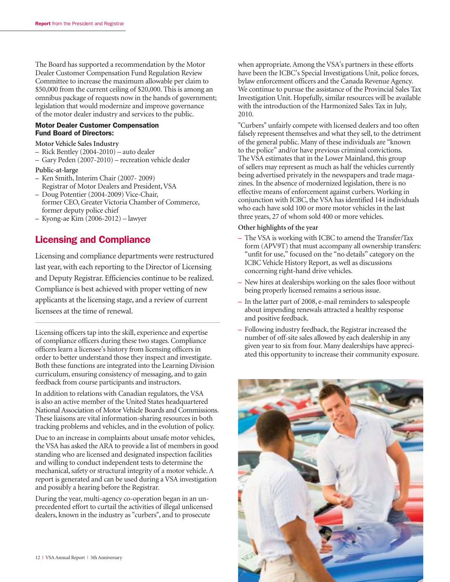The Board has supported a recommendation by the Motor Dealer Customer Compensation Fund Regulation Review Committee to increase the maximum allowable per claim to \$50,000 from the current ceiling of \$20,000. This is among an omnibus package of requests now in the hands of government; legislation that would modernize and improve governance of the motor dealer industry and services to the public.

#### Motor Dealer Customer Compensation Fund Board of Directors:

- **Motor Vehicle Sales Industry**
- **–** Rick Bentley (2004-2010) auto dealer
- Gary Peden (2007-2010) recreation vehicle dealer
- **Public-at-large**
- **–** Ken Smith, Interim Chair (2007- 2009) Registrar of Motor Dealers and President, VSA
- **–** Doug Potentier (2004-2009) Vice-Chair, former CEO, Greater Victoria Chamber of Commerce, former deputy police chief
- **–** Kyong-ae Kim (2006-2012) lawyer

### Licensing and Compliance

Licensing and compliance departments were restructured last year, with each reporting to the Director of Licensing and Deputy Registrar. Efficiencies continue to be realized. Compliance is best achieved with proper vetting of new applicants at the licensing stage, and a review of current licensees at the time of renewal.

Licensing officers tap into the skill, experience and expertise of compliance officers during these two stages. Compliance officers learn a licensee's history from licensing officers in order to better understand those they inspect and investigate. Both these functions are integrated into the Learning Division curriculum, ensuring consistency of messaging, and to gain feedback from course participants and instructors.

In addition to relations with Canadian regulators, the VSA is also an active member of the United States headquartered National Association of Motor Vehicle Boards and Commissions. These liaisons are vital information-sharing resources in both tracking problems and vehicles, and in the evolution of policy.

Due to an increase in complaints about unsafe motor vehicles, the VSA has asked the ARA to provide a list of members in good standing who are licensed and designated inspection facilities and willing to conduct independent tests to determine the mechanical, safety or structural integrity of a motor vehicle. A report is generated and can be used during a VSA investigation and possibly a hearing before the Registrar.

During the year, multi-agency co-operation began in an unprecedented effort to curtail the activities of illegal unlicensed dealers, known in the industry as "curbers", and to prosecute

when appropriate. Among the VSA's partners in these efforts have been the ICBC's Special Investigations Unit, police forces, bylaw enforcement officers and the Canada Revenue Agency. We continue to pursue the assistance of the Provincial Sales Tax Investigation Unit. Hopefully, similar resources will be available with the introduction of the Harmonized Sales Tax in July, 2010.

"Curbers" unfairly compete with licensed dealers and too often falsely represent themselves and what they sell, to the detriment of the general public. Many of these individuals are "known to the police" and/or have previous criminal convictions. The VSA estimates that in the Lower Mainland, this group of sellers may represent as much as half the vehicles currently being advertised privately in the newspapers and trade magazines. In the absence of modernized legislation, there is no effective means of enforcement against curbers. Working in conjunction with ICBC, the VSA has identified 144 individuals who each have sold 100 or more motor vehicles in the last three years, 27 of whom sold 400 or more vehicles.

#### **Other highlights of the year**

- The VSA is working with ICBC to amend the Transfer/Tax form (APV9T) that must accompany all ownership transfers: "unfit for use," focused on the "no details" category on the ICBC Vehicle History Report, as well as discussions concerning right-hand drive vehicles.
- New hires at dealerships working on the sales floor without being properly licensed remains a serious issue.
- In the latter part of 2008, e-mail reminders to salespeople about impending renewals attracted a healthy response and positive feedback.
- Following industry feedback, the Registrar increased the number of off-site sales allowed by each dealership in any given year to six from four. Many dealerships have appreciated this opportunity to increase their community exposure.

![](_page_13_Picture_24.jpeg)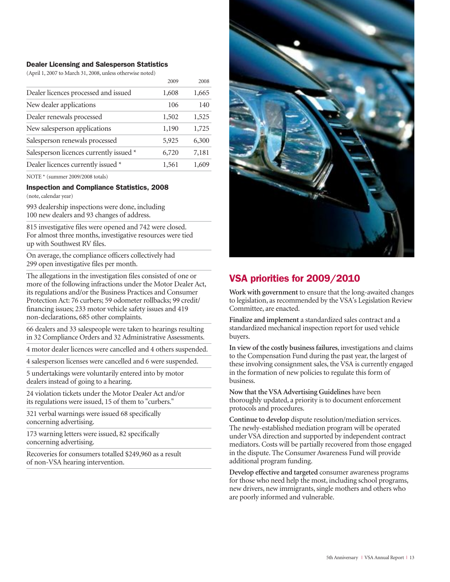#### Dealer Licensing and Salesperson Statistics

(April 1, 2007 to March 31, 2008, unless otherwise noted)

|                                         | 2009  | 2008  |
|-----------------------------------------|-------|-------|
| Dealer licences processed and issued    | 1,608 | 1,665 |
| New dealer applications                 | 106   | 140   |
| Dealer renewals processed               | 1,502 | 1,525 |
| New salesperson applications            | 1,190 | 1,725 |
| Salesperson renewals processed          | 5,925 | 6,300 |
| Salesperson licences currently issued * | 6,720 | 7,181 |
| Dealer licences currently issued *      | 1,561 | 1,609 |
|                                         |       |       |

NOTE \* (summer 2009/2008 totals)

#### Inspection and Compliance Statistics, 2008

(note, calendar year)

993 dealership inspections were done, including 100 new dealers and 93 changes of address.

815 investigative files were opened and 742 were closed. For almost three months, investigative resources were tied up with Southwest RV files.

On average, the compliance officers collectively had 299 open investigative files per month.

The allegations in the investigation files consisted of one or more of the following infractions under the Motor Dealer Act, its regulations and/or the Business Practices and Consumer Protection Act: 76 curbers; 59 odometer rollbacks; 99 credit/ financing issues; 233 motor vehicle safety issues and 419 non-declarations, 685 other complaints.

66 dealers and 33 salespeople were taken to hearings resulting in 32 Compliance Orders and 32 Administrative Assessments.

4 motor dealer licences were cancelled and 4 others suspended.

4 salesperson licenses were cancelled and 6 were suspended.

5 undertakings were voluntarily entered into by motor dealers instead of going to a hearing.

24 violation tickets under the Motor Dealer Act and/or its regulations were issued, 15 of them to "curbers."

321 verbal warnings were issued 68 specifically concerning advertising.

173 warning letters were issued, 82 specifically concerning advertising.

Recoveries for consumers totalled \$249,960 as a result of non-VSA hearing intervention.

![](_page_14_Picture_18.jpeg)

# VSA priorities for 2009/2010

**Work with government** to ensure that the long-awaited changes to legislation, as recommended by the VSA's Legislation Review Committee, are enacted.

**Finalize and implement** a standardized sales contract and a standardized mechanical inspection report for used vehicle buyers.

**In view of the costly business failures**, investigations and claims to the Compensation Fund during the past year, the largest of these involving consignment sales, the VSA is currently engaged in the formation of new policies to regulate this form of business.

**Now that the VSA Advertising Guidelines** have been thoroughly updated, a priority is to document enforcement protocols and procedures.

**Continue to develop** dispute resolution/mediation services. The newly-established mediation program will be operated under VSA direction and supported by independent contract mediators. Costs will be partially recovered from those engaged in the dispute. The Consumer Awareness Fund will provide additional program funding.

**Develop effective and targeted** consumer awareness programs for those who need help the most, including school programs, new drivers, new immigrants, single mothers and others who are poorly informed and vulnerable.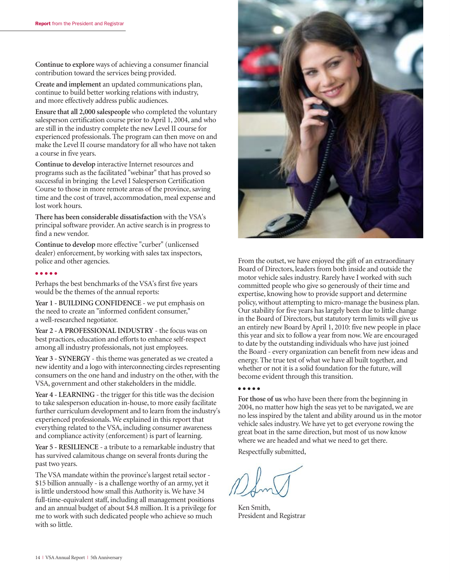**Continue to explore** ways of achieving a consumer financial contribution toward the services being provided.

**Create and implement** an updated communications plan, continue to build better working relations with industry, and more effectively address public audiences.

**Ensure that all 2,000 salespeople** who completed the voluntary salesperson certification course prior to April 1, 2004, and who are still in the industry complete the new Level II course for experienced professionals. The program can then move on and make the Level II course mandatory for all who have not taken a course in five years.

**Continue to develop** interactive Internet resources and programs such as the facilitated "webinar" that has proved so successful in bringing the Level I Salesperson Certification Course to those in more remote areas of the province, saving time and the cost of travel, accommodation, meal expense and lost work hours.

**There has been considerable dissatisfaction** with the VSA's principal software provider. An active search is in progress to find a new vendor.

**Continue to develop** more effective "curber" (unlicensed dealer) enforcement, by working with sales tax inspectors, police and other agencies.

#### ● ● ● ● ●

Perhaps the best benchmarks of the VSA's first five years would be the themes of the annual reports:

Year 1 - BUILDING CONFIDENCE - we put emphasis on the need to create an "informed confident consumer," a well-researched negotiator.

**Year 2 - A PROFESSIONAL INDUSTRY** - the focus was on best practices, education and efforts to enhance self-respect among all industry professionals, not just employees.

**Year 3 - SYNERGY** - this theme was generated as we created a new identity and a logo with interconnecting circles representing consumers on the one hand and industry on the other, with the VSA, government and other stakeholders in the middle.

**Year 4 - LEARNING** - the trigger for this title was the decision to take salesperson education in-house, to more easily facilitate further curriculum development and to learn from the industry's experienced professionals. We explained in this report that everything related to the VSA, including consumer awareness and compliance activity (enforcement) is part of learning.

**Year 5 - RESILIENCE** - a tribute to a remarkable industry that has survived calamitous change on several fronts during the past two years.

The VSA mandate within the province's largest retail sector - \$15 billion annually - is a challenge worthy of an army, yet it is little understood how small this Authority is. We have 34 full-time-equivalent staff, including all management positions and an annual budget of about \$4.8 million. It is a privilege for me to work with such dedicated people who achieve so much with so little.

![](_page_15_Picture_15.jpeg)

From the outset, we have enjoyed the gift of an extraordinary Board of Directors, leaders from both inside and outside the motor vehicle sales industry. Rarely have I worked with such committed people who give so generously of their time and expertise, knowing how to provide support and determine policy, without attempting to micro-manage the business plan. Our stability for five years has largely been due to little change in the Board of Directors, but statutory term limits will give us an entirely new Board by April 1, 2010: five new people in place this year and six to follow a year from now. We are encouraged to date by the outstanding individuals who have just joined the Board - every organization can benefit from new ideas and energy. The true test of what we have all built together, and whether or not it is a solid foundation for the future, will become evident through this transition.

#### ● ● ● ● ●

**For those of us** who have been there from the beginning in 2004, no matter how high the seas yet to be navigated, we are no less inspired by the talent and ability around us in the motor vehicle sales industry. We have yet to get everyone rowing the great boat in the same direction, but most of us now know where we are headed and what we need to get there.

Respectfully submitted,

Ken Smith, President and Registrar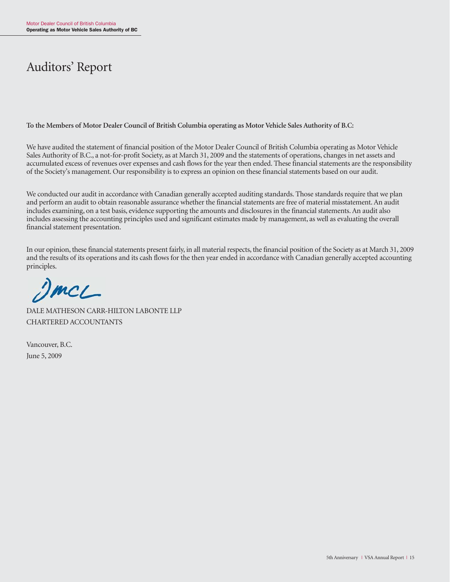# Auditors' Report

**To the Members of Motor Dealer Council of British Columbia operating as Motor Vehicle Sales Authority of B.C:**

We have audited the statement of financial position of the Motor Dealer Council of British Columbia operating as Motor Vehicle Sales Authority of B.C., a not-for-profit Society, as at March 31, 2009 and the statements of operations, changes in net assets and accumulated excess of revenues over expenses and cash flows for the year then ended. These financial statements are the responsibility of the Society's management. Our responsibility is to express an opinion on these financial statements based on our audit.

We conducted our audit in accordance with Canadian generally accepted auditing standards. Those standards require that we plan and perform an audit to obtain reasonable assurance whether the financial statements are free of material misstatement. An audit includes examining, on a test basis, evidence supporting the amounts and disclosures in the financial statements. An audit also includes assessing the accounting principles used and significant estimates made by management, as well as evaluating the overall financial statement presentation.

In our opinion, these financial statements present fairly, in all material respects, the financial position of the Society as at March 31, 2009 and the results of its operations and its cash flows for the then year ended in accordance with Canadian generally accepted accounting principles.

 $\mathcal{D}mcl$ 

DALE MATHESON CARR-HILTON LABONTE LLP CHARTERED ACCOUNTANTS

Vancouver, B.C. June 5, 2009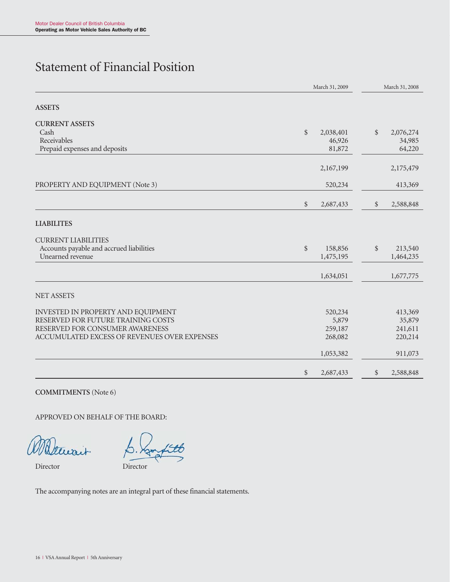# Statement of Financial Position

|                                              | March 31, 2009 | March 31, 2008 |       |           |
|----------------------------------------------|----------------|----------------|-------|-----------|
| <b>ASSETS</b>                                |                |                |       |           |
| <b>CURRENT ASSETS</b>                        |                |                |       |           |
| Cash                                         | \$             | 2,038,401      | \$    | 2,076,274 |
| Receivables                                  |                | 46,926         |       | 34,985    |
| Prepaid expenses and deposits                |                | 81,872         |       | 64,220    |
|                                              |                | 2,167,199      |       | 2,175,479 |
| PROPERTY AND EQUIPMENT (Note 3)              |                | 520,234        |       | 413,369   |
|                                              | \$             | 2,687,433      | $\$\$ | 2,588,848 |
| <b>LIABILITES</b>                            |                |                |       |           |
| <b>CURRENT LIABILITIES</b>                   |                |                |       |           |
| Accounts payable and accrued liabilities     | $\frac{1}{2}$  | 158,856        | $\$\$ | 213,540   |
| Unearned revenue                             |                | 1,475,195      |       | 1,464,235 |
|                                              |                | 1,634,051      |       | 1,677,775 |
| <b>NET ASSETS</b>                            |                |                |       |           |
| INVESTED IN PROPERTY AND EQUIPMENT           |                | 520,234        |       | 413,369   |
| RESERVED FOR FUTURE TRAINING COSTS           |                | 5,879          |       | 35,879    |
| RESERVED FOR CONSUMER AWARENESS              |                | 259,187        |       | 241,611   |
| ACCUMULATED EXCESS OF REVENUES OVER EXPENSES |                | 268,082        |       | 220,214   |
|                                              |                | 1,053,382      |       | 911,073   |
|                                              | \$             | 2,687,433      | $\$\$ | 2,588,848 |

**COMMITMENTS** (Note 6)

APPROVED ON BEHALF OF THE BOARD:

Wattwait

Director Director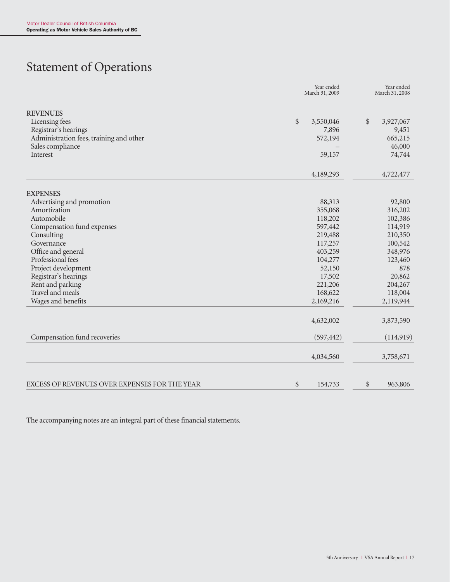# Statement of Operations

|                                               | Year ended<br>March 31, 2009 | Year ended<br>March 31, 2008 |  |
|-----------------------------------------------|------------------------------|------------------------------|--|
| <b>REVENUES</b>                               |                              |                              |  |
| Licensing fees                                | \$<br>3,550,046              | \$<br>3,927,067              |  |
| Registrar's hearings                          | 7,896                        | 9,451                        |  |
| Administration fees, training and other       | 572,194                      | 665,215                      |  |
| Sales compliance                              |                              | 46,000                       |  |
| Interest                                      | 59,157                       | 74,744                       |  |
|                                               | 4,189,293                    | 4,722,477                    |  |
|                                               |                              |                              |  |
| <b>EXPENSES</b><br>Advertising and promotion  | 88,313                       | 92,800                       |  |
| Amortization                                  | 355,068                      | 316,202                      |  |
| Automobile                                    | 118,202                      | 102,386                      |  |
| Compensation fund expenses                    | 597,442                      | 114,919                      |  |
| Consulting                                    | 219,488                      | 210,350                      |  |
| Governance                                    | 117,257                      | 100,542                      |  |
| Office and general                            | 403,259                      | 348,976                      |  |
| Professional fees                             | 104,277                      | 123,460                      |  |
| Project development                           | 52,150                       | 878                          |  |
| Registrar's hearings                          | 17,502                       | 20,862                       |  |
| Rent and parking                              | 221,206                      | 204,267                      |  |
| Travel and meals                              | 168,622                      | 118,004                      |  |
| Wages and benefits                            | 2,169,216                    | 2,119,944                    |  |
|                                               | 4,632,002                    | 3,873,590                    |  |
| Compensation fund recoveries                  | (597, 442)                   | (114,919)                    |  |
|                                               | 4,034,560                    | 3,758,671                    |  |
| EXCESS OF REVENUES OVER EXPENSES FOR THE YEAR | \$<br>154,733                | \$<br>963,806                |  |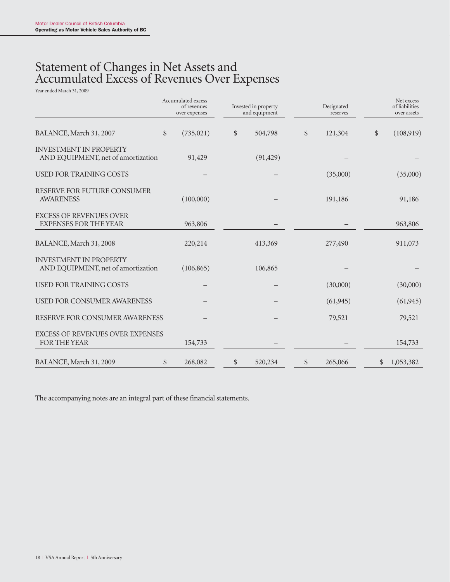# Statement of Changes in Net Assets and Accumulated Excess of Revenues Over Expenses

Year ended March 31, 2009

|                                                                     | Accumulated excess<br>of revenues<br>over expenses | Invested in property<br>and equipment |              | Designated<br>reserves |              | Net excess<br>of liabilities<br>over assets |
|---------------------------------------------------------------------|----------------------------------------------------|---------------------------------------|--------------|------------------------|--------------|---------------------------------------------|
| BALANCE, March 31, 2007                                             | \$<br>(735, 021)                                   | \$<br>504,798                         | \$           | 121,304                | \$           | (108,919)                                   |
| <b>INVESTMENT IN PROPERTY</b><br>AND EQUIPMENT, net of amortization | 91,429                                             | (91, 429)                             |              |                        |              |                                             |
| <b>USED FOR TRAINING COSTS</b>                                      |                                                    |                                       |              | (35,000)               |              | (35,000)                                    |
| RESERVE FOR FUTURE CONSUMER<br><b>AWARENESS</b>                     | (100,000)                                          |                                       |              | 191,186                |              | 91,186                                      |
| <b>EXCESS OF REVENUES OVER</b><br><b>EXPENSES FOR THE YEAR</b>      | 963,806                                            |                                       |              |                        |              | 963,806                                     |
| BALANCE, March 31, 2008                                             | 220,214                                            | 413,369                               |              | 277,490                |              | 911,073                                     |
| <b>INVESTMENT IN PROPERTY</b><br>AND EQUIPMENT, net of amortization | (106, 865)                                         | 106,865                               |              |                        |              |                                             |
| <b>USED FOR TRAINING COSTS</b>                                      |                                                    |                                       |              | (30,000)               |              | (30,000)                                    |
| <b>USED FOR CONSUMER AWARENESS</b>                                  |                                                    |                                       |              | (61, 945)              |              | (61, 945)                                   |
| RESERVE FOR CONSUMER AWARENESS                                      |                                                    |                                       |              | 79,521                 |              | 79,521                                      |
| <b>EXCESS OF REVENUES OVER EXPENSES</b><br><b>FOR THE YEAR</b>      | 154,733                                            |                                       |              |                        |              | 154,733                                     |
| BALANCE, March 31, 2009                                             | \$<br>268,082                                      | \$<br>520,234                         | $\mathbb{S}$ | 265,066                | $\mathbb{S}$ | 1,053,382                                   |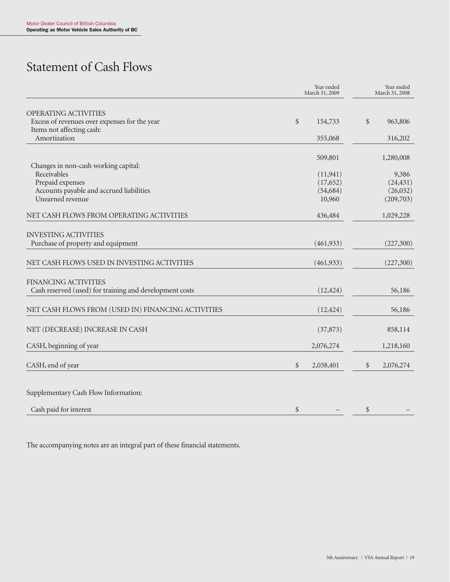# Statement of Cash Flows

|                                                                                                    |        | Year ended<br>March 31, 2009 |               | Year ended<br>March 31, 2008 |
|----------------------------------------------------------------------------------------------------|--------|------------------------------|---------------|------------------------------|
| OPERATING ACTIVITIES<br>Excess of revenues over expenses for the year<br>Items not affecting cash: | $\$\,$ | 154,733                      | $\mathcal{S}$ | 963,806                      |
| Amortization                                                                                       |        | 355,068                      |               | 316,202                      |
| Changes in non-cash working capital:                                                               |        | 509,801                      |               | 1,280,008                    |
| Receivables                                                                                        |        | (11, 941)                    |               | 9,386                        |
| Prepaid expenses                                                                                   |        | (17,652)                     |               | (24, 431)                    |
| Accounts payable and accrued liabilities                                                           |        | (54, 684)                    |               | (26,032)                     |
| Unearned revenue                                                                                   |        | 10,960                       |               | (209,703)                    |
| NET CASH FLOWS FROM OPERATING ACTIVITIES                                                           |        | 436,484                      |               | 1,029,228                    |
| <b>INVESTING ACTIVITIES</b>                                                                        |        |                              |               |                              |
| Purchase of property and equipment                                                                 |        | (461, 933)                   |               | (227,300)                    |
| NET CASH FLOWS USED IN INVESTING ACTIVITIES                                                        |        | (461, 933)                   |               | (227,300)                    |
| <b>FINANCING ACTIVITIES</b><br>Cash reserved (used) for training and development costs             |        | (12, 424)                    |               | 56,186                       |
| NET CASH FLOWS FROM (USED IN) FINANCING ACTIVITIES                                                 |        | (12, 424)                    |               | 56,186                       |
| NET (DECREASE) INCREASE IN CASH                                                                    |        | (37, 873)                    |               | 858,114                      |
| CASH, beginning of year                                                                            |        | 2,076,274                    |               | 1,218,160                    |
| CASH, end of year                                                                                  | \$     | 2,038,401                    | \$            | 2,076,274                    |
| Supplementary Cash Flow Information:                                                               |        |                              |               |                              |
| Cash paid for interest                                                                             | \$     |                              | \$            |                              |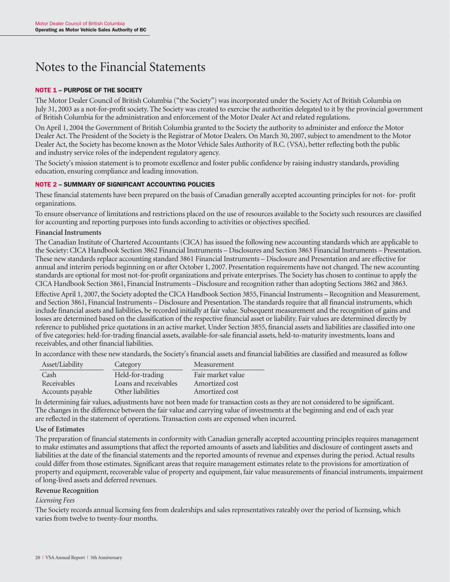# Notes to the Financial Statements

#### NOTE 1 – PURPOSE OF THE SOCIETY

The Motor Dealer Council of British Columbia ("the Society") was incorporated under the Society Act of British Columbia on July 31, 2003 as a not-for-profit society. The Society was created to exercise the authorities delegated to it by the provincial government of British Columbia for the administration and enforcement of the Motor Dealer Act and related regulations.

On April 1, 2004 the Government of British Columbia granted to the Society the authority to administer and enforce the Motor Dealer Act. The President of the Society is the Registrar of Motor Dealers. On March 30, 2007, subject to amendment to the Motor Dealer Act, the Society has become known as the Motor Vehicle Sales Authority of B.C. (VSA), better reflecting both the public and industry service roles of the independent regulatory agency.

The Society's mission statement is to promote excellence and foster public confidence by raising industry standards, providing education, ensuring compliance and leading innovation.

#### NOTE 2 – SUMMARY OF SIGNIFICANT ACCOUNTING POLICIES

These financial statements have been prepared on the basis of Canadian generally accepted accounting principles for not- for- profit organizations.

To ensure observance of limitations and restrictions placed on the use of resources available to the Society such resources are classified for accounting and reporting purposes into funds according to activities or objectives specified.

#### **Financial Instruments**

The Canadian Institute of Chartered Accountants (CICA) has issued the following new accounting standards which are applicable to the Society: CICA Handbook Section 3862 Financial Instruments – Disclosures and Section 3863 Financial Instruments – Presentation. These new standards replace accounting standard 3861 Financial Instruments – Disclosure and Presentation and are effective for annual and interim periods beginning on or after October 1, 2007. Presentation requirements have not changed. The new accounting standards are optional for most not-for-profit organizations and private enterprises. The Society has chosen to continue to apply the CICA Handbook Section 3861, Financial Instruments –Disclosure and recognition rather than adopting Sections 3862 and 3863.

Effective April 1, 2007, the Society adopted the CICA Handbook Section 3855, Financial Instruments – Recognition and Measurement, and Section 3861, Financial Instruments – Disclosure and Presentation. The standards require that all financial instruments, which include financial assets and liabilities, be recorded initially at fair value. Subsequent measurement and the recognition of gains and losses are determined based on the classification of the respective financial asset or liability. Fair values are determined directly by reference to published price quotations in an active market. Under Section 3855, financial assets and liabilities are classified into one of five categories: held-for-trading financial assets, available-for-sale financial assets, held-to-maturity investments, loans and receivables, and other financial liabilities.

In accordance with these new standards, the Society's financial assets and financial liabilities are classified and measured as follow

| Asset/Liability  | Category              | Measurement       |
|------------------|-----------------------|-------------------|
| Cash             | Held-for-trading      | Fair market value |
| Receivables      | Loans and receivables | Amortized cost    |
| Accounts payable | Other liabilities     | Amortized cost    |

In determining fair values, adjustments have not been made for transaction costs as they are not considered to be significant. The changes in the difference between the fair value and carrying value of investments at the beginning and end of each year are reflected in the statement of operations. Transaction costs are expensed when incurred.

#### **Use of Estimates**

The preparation of financial statements in conformity with Canadian generally accepted accounting principles requires management to make estimates and assumptions that affect the reported amounts of assets and liabilities and disclosure of contingent assets and liabilities at the date of the financial statements and the reported amounts of revenue and expenses during the period. Actual results could differ from those estimates. Significant areas that require management estimates relate to the provisions for amortization of property and equipment, recoverable value of property and equipment, fair value measurements of financial instruments, impairment of long-lived assets and deferred revenues.

#### **Revenue Recognition**

#### *Licensing Fees*

The Society records annual licensing fees from dealerships and sales representatives rateably over the period of licensing, which varies from twelve to twenty-four months.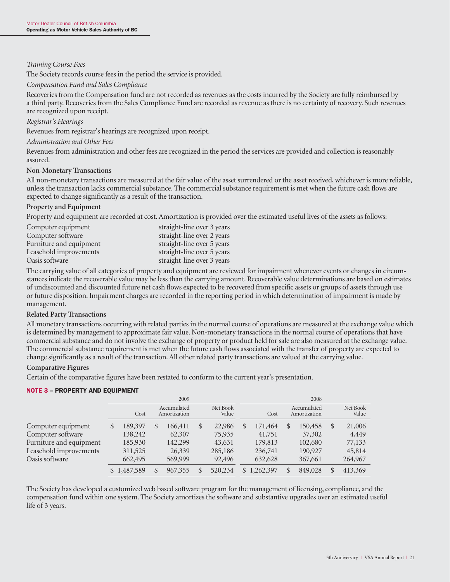#### *Training Course Fees*

The Society records course fees in the period the service is provided.

#### *Compensation Fund and Sales Compliance*

Recoveries from the Compensation fund are not recorded as revenues as the costs incurred by the Society are fully reimbursed by a third party. Recoveries from the Sales Compliance Fund are recorded as revenue as there is no certainty of recovery. Such revenues are recognized upon receipt.

#### *Registrar's Hearings*

Revenues from registrar's hearings are recognized upon receipt.

#### *Administration and Other Fees*

Revenues from administration and other fees are recognized in the period the services are provided and collection is reasonably assured.

#### **Non-Monetary Transactions**

All non-monetary transactions are measured at the fair value of the asset surrendered or the asset received, whichever is more reliable, unless the transaction lacks commercial substance. The commercial substance requirement is met when the future cash flows are expected to change significantly as a result of the transaction.

#### **Property and Equipment**

Property and equipment are recorded at cost. Amortization is provided over the estimated useful lives of the assets as follows:

| Computer equipment      | straight-line over 3 years |
|-------------------------|----------------------------|
| Computer software       | straight-line over 2 years |
| Furniture and equipment | straight-line over 5 years |
| Leasehold improvements  | straight-line over 5 years |
| Oasis software          | straight-line over 3 years |

The carrying value of all categories of property and equipment are reviewed for impairment whenever events or changes in circumstances indicate the recoverable value may be less than the carrying amount. Recoverable value determinations are based on estimates of undiscounted and discounted future net cash flows expected to be recovered from specific assets or groups of assets through use or future disposition. Impairment charges are recorded in the reporting period in which determination of impairment is made by management.

#### **Related Party Transactions**

All monetary transactions occurring with related parties in the normal course of operations are measured at the exchange value which is determined by management to approximate fair value. Non-monetary transactions in the normal course of operations that have commercial substance and do not involve the exchange of property or product held for sale are also measured at the exchange value. The commercial substance requirement is met when the future cash flows associated with the transfer of property are expected to change significantly as a result of the transaction. All other related party transactions are valued at the carrying value.

#### **Comparative Figures**

Certain of the comparative figures have been restated to conform to the current year's presentation.

#### NOTE 3 – PROPERTY AND EQUIPMENT

|                         |   | 2009        |    |                             |    |                   |                 |               | 2008                        |               |                   |
|-------------------------|---|-------------|----|-----------------------------|----|-------------------|-----------------|---------------|-----------------------------|---------------|-------------------|
|                         |   | Cost        |    | Accumulated<br>Amortization |    | Net Book<br>Value | Cost            |               | Accumulated<br>Amortization |               | Net Book<br>Value |
| Computer equipment      | S | 189,397     | \$ | 166,411                     | \$ | 22,986            | \$<br>171,464   | <b>S</b>      | 150,458                     | $\mathcal{S}$ | 21,006            |
| Computer software       |   | 138,242     |    | 62,307                      |    | 75,935            | 41,751          |               | 37,302                      |               | 4,449             |
| Furniture and equipment |   | 185,930     |    | 142,299                     |    | 43,631            | 179,813         |               | 102,680                     |               | 77,133            |
| Leasehold improvements  |   | 311,525     |    | 26,339                      |    | 285,186           | 236,741         |               | 190,927                     |               | 45,814            |
| Oasis software          |   | 662,495     |    | 569,999                     |    | 92,496            | 632,628         |               | 367,661                     |               | 264,967           |
|                         |   | \$1,487,589 | \$ | 967,355                     |    | 520,234           | \$<br>1,262,397 | <sup>\$</sup> | 849,028                     | \$            | 413,369           |

The Society has developed a customized web based software program for the management of licensing, compliance, and the compensation fund within one system. The Society amortizes the software and substantive upgrades over an estimated useful life of 3 years.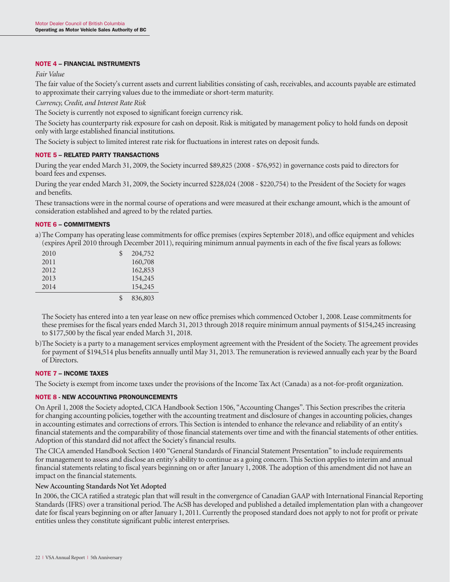#### NOTE 4 – FINANCIAL INSTRUMENTS

*Fair Value*

The fair value of the Society's current assets and current liabilities consisting of cash, receivables, and accounts payable are estimated to approximate their carrying values due to the immediate or short-term maturity.

*Currency, Credit, and Interest Rate Risk*

The Society is currently not exposed to significant foreign currency risk.

The Society has counterparty risk exposure for cash on deposit. Risk is mitigated by management policy to hold funds on deposit only with large established financial institutions.

The Society is subject to limited interest rate risk for fluctuations in interest rates on deposit funds.

#### NOTE 5 – RELATED PARTY TRANSACTIONS

During the year ended March 31, 2009, the Society incurred \$89,825 (2008 - \$76,952) in governance costs paid to directors for board fees and expenses.

During the year ended March 31, 2009, the Society incurred \$228,024 (2008 - \$220,754) to the President of the Society for wages and benefits.

These transactions were in the normal course of operations and were measured at their exchange amount, which is the amount of consideration established and agreed to by the related parties.

#### NOTE 6 – COMMITMENTS

a)The Company has operating lease commitments for office premises (expires September 2018), and office equipment and vehicles (expires April 2010 through December 2011), requiring minimum annual payments in each of the five fiscal years as follows:

| 2010 | \$<br>204,752 |
|------|---------------|
| 2011 | 160,708       |
| 2012 | 162,853       |
| 2013 | 154,245       |
| 2014 | 154,245       |
|      | 836,803       |

The Society has entered into a ten year lease on new office premises which commenced October 1, 2008. Lease commitments for these premises for the fiscal years ended March 31, 2013 through 2018 require minimum annual payments of \$154,245 increasing to \$177,500 by the fiscal year ended March 31, 2018.

b)The Society is a party to a management services employment agreement with the President of the Society. The agreement provides for payment of \$194,514 plus benefits annually until May 31, 2013. The remuneration is reviewed annually each year by the Board of Directors.

#### NOTE 7 – INCOME TAXES

The Society is exempt from income taxes under the provisions of the Income Tax Act (Canada) as a not-for-profit organization.

#### NOTE 8 - NEW ACCOUNTING PRONOUNCEMENTS

On April 1, 2008 the Society adopted, CICA Handbook Section 1506, "Accounting Changes". This Section prescribes the criteria for changing accounting policies, together with the accounting treatment and disclosure of changes in accounting policies, changes in accounting estimates and corrections of errors. This Section is intended to enhance the relevance and reliability of an entity's financial statements and the comparability of those financial statements over time and with the financial statements of other entities. Adoption of this standard did not affect the Society's financial results.

The CICA amended Handbook Section 1400 "General Standards of Financial Statement Presentation" to include requirements for management to assess and disclose an entity's ability to continue as a going concern. This Section applies to interim and annual financial statements relating to fiscal years beginning on or after January 1, 2008. The adoption of this amendment did not have an impact on the financial statements.

#### **New Accounting Standards Not Yet Adopted**

In 2006, the CICA ratified a strategic plan that will result in the convergence of Canadian GAAP with International Financial Reporting Standards (IFRS) over a transitional period. The AcSB has developed and published a detailed implementation plan with a changeover date for fiscal years beginning on or after January 1, 2011. Currently the proposed standard does not apply to not for profit or private entities unless they constitute significant public interest enterprises.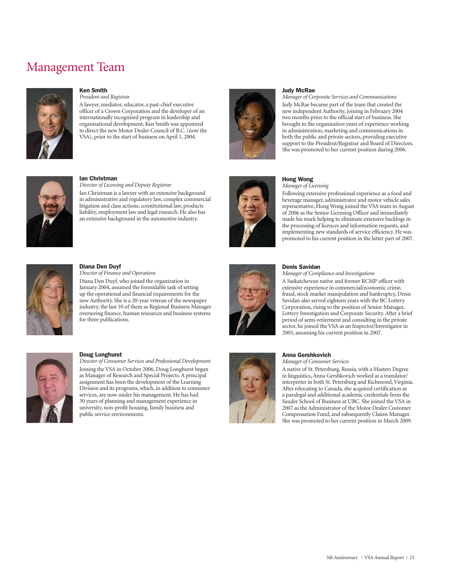# Management Team

![](_page_24_Picture_1.jpeg)

#### Ken Smith

*President and Registrar* A lawyer, mediator, educator, a past-chief executive officer of a Crown Corporation and the developer of an internationally recognized program in leadership and organizational development, Ken Smith was appointed to direct the new Motor Dealer Council of B.C. (now the VSA), prior to the start of business on April 1, 2004.

![](_page_24_Picture_4.jpeg)

#### Judy McRae

*Manager of Corporate Services and Communications* Judy McRae became part of the team that created the new independent Authority, joining in February 2004 two months prior to the official start of business. She brought to the organization years of experience working in administration, marketing and communications in both the public and private sectors, providing executive support to the President/Registrar and Board of Directors. She was promoted to her current position during 2006.

![](_page_24_Picture_7.jpeg)

#### Ian Christman

*Director of Licensing and Deputy Registrar* Ian Christman is a lawyer with an extensive background in administrative and regulatory law, complex commercial litigation and class actions, constitutional law, products liability, employment law and legal research. He also has an extensive background in the automotive industry.

![](_page_24_Picture_10.jpeg)

#### Hong Wong

*Manager of Licensing*

Following extensive professional experience as a food and beverage manager, administrator and motor vehicle sales representative, Hong Wong joined the VSA team in August of 2006 as the Senior Licensing Officer and immediately made his mark helping to eliminate extensive backlogs in the processing of licences and information requests, and implementing new standards of service efficiency. He was promoted to his current position in the latter part of 2007.

![](_page_24_Picture_14.jpeg)

#### Diana Den Duyf

*Director of Finance and Operations* 

Diana Den Duyf, who joined the organization in January 2004, assumed the formidable task of setting up the operational and financial requirements for the new Authority. She is a 20-year veteran of the newspaper industry, the last 10 of them as Regional Business Manager overseeing finance, human resources and business systems for three publications.

![](_page_24_Picture_18.jpeg)

#### Doug Longhurst

*Director of Consumer Services and Professional Development* Joining the VSA in October 2006, Doug Longhurst began as Manager of Research and Special Projects. A principal assignment has been the development of the Learning Division and its programs, which, in addition to consumer services, are now under his management. He has had 30 years of planning and management experience in university, non-profit housing, family business and public service environments.

![](_page_24_Picture_21.jpeg)

#### Denis Savidan

*Manager of Compliance and Investigations*

A Saskatchewan native and former RCMP officer with extensive experience in commercial/economic crime, fraud, stock market manipulation and bankruptcy, Denis Savidan also served eighteen years with the BC Lottery Corporation, rising to the position of Senior Manager, Lottery Investigation and Corporate Security. After a brief period of semi-retirement and consulting in the private sector, he joined the VSA as an Inspector/Investigator in 2005, assuming his current position in 2007.

![](_page_24_Picture_25.jpeg)

#### Anna Gershkovich

*Manager of Consumer Services*

A native of St. Petersburg, Russia, with a Masters Degree in linguistics, Anna Gershkovich worked as a translator/ interpreter in both St. Petersburg and Richmond, Virginia. After relocating to Canada, she acquired certification as a paralegal and additional academic credentials from the Sauder School of Business at UBC. She joined the VSA in 2007 as the Administrator of the Motor Dealer Customer Compensation Fund, and subsequently Claims Manager. She was promoted to her current position in March 2009.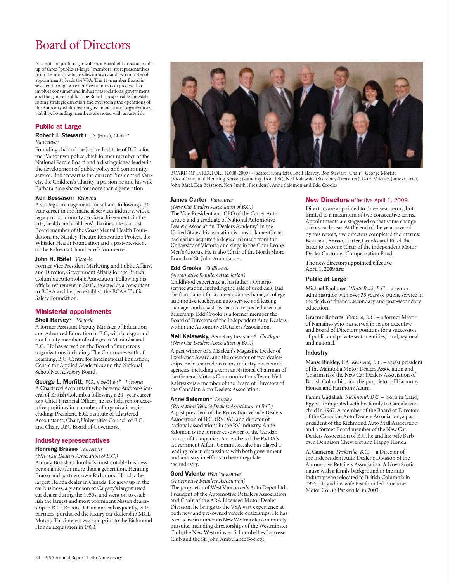# Board of Directors

As a not-for-profit organization, a Board of Directors made up of three "public-at-large" members, six representatives from the motor vehicle sales industry and two ministerial appointments, leads the VSA. The 11-member Board is selected through an extensive nomination process that involves consumer and industry associations, government and the general public. The Board is responsible for establishing strategic direction and overseeing the operations of the Authority while ensuring its financial and organizational viability. Founding members are noted with an asterisk.

#### Public at Large

Robert J. Stewart LL.D. (Hon.), Chair \* *Vancouver*

Founding chair of the Justice Institute of B.C, a former Vancouver police chief, former member of the National Parole Board and a distinguished leader in the development of public policy and community service. Bob Stewart is the current President of Variety, the Children's Charity, a passion he and his wife Barbara have shared for more than a generation.

#### Ken Bessason *Kelowna*

A strategic management consultant, following a 36 year career in the financial services industry, with a legacy of community service achievements in the arts, health and childrens' charities. He is a past Board member of the Coast Mental Health Foundation, the Stanley Theatre Renovation Project, the Whistler Health Foundation and a past-president of the Kelowna Chamber of Commerce.

#### John H. Râtel *Victoria*

Former Vice President Marketing and Public Affairs, and Director, Government Affairs for the British Columbia Automobile Association. Following his official retirement in 2002, he acted as a consultant to BCAA and helped establish the BCAA Traffic Safety Foundation.

#### Ministerial appointments

#### Shell Harvey\* *Victoria*

A former Assistant Deputy Minister of Education and Advanced Education in B.C, with background as a faculty member of colleges in Manitoba and B.C. He has served on the Board of numerous organizations including: The Commonwealth of Learning, B.C. Centre for International Education, Centre for Applied Academics and the National SchoolNet Advisory Board.

George L. Morfitt, FCA, Vice-Chair\* *Victoria* A Chartered Accountant who became Auditor-General of British Columbia following a 20- year career as a Chief Financial Officer, he has held senior executive positions in a number of organizations, including: President, B.C. Institute of Chartered Accountants; Chair, Universities Council of B.C. and Chair, UBC Board of Governors.

#### Industry representatives

#### Henning Brasso *Vancouver*

*(New Car Dealers Association of B.C.)* Among British Columbia's most notable business personalities for more than a generation, Henning Brasso and partners own Richmond Honda, the largest Honda dealer in Canada. He grew up in the car business, a grandson of Calgary's largest used car dealer during the 1950s, and went on to establish the largest and most prominent Nissan dealership in B.C., Brasso Datsun and subsequently, with partners, purchased the luxury car dealership MCL Motors. This interest was sold prior to the Richmond Honda acquisition in 1990.

![](_page_25_Picture_16.jpeg)

BOARD OF DIRECTORS (2008-2009) - (seated, from left), Shell Harvey, Bob Stewart (Chair), George Morfitt (Vice-Chair) and Henning Brasso; (standing, from left), Neil Kalawsky (Secretary-Treasurer), Gord Valente, James Carter, John Râtel, Ken Bessason, Ken Smith (President), Anne Salomon and Edd Crooks

#### James Carter *Vancouver*

*(New Car Dealers Association of B.C.)* The Vice President and CEO of the Carter Auto Group and a graduate of National Automotive Dealers Association "Dealers Academy" in the United States, his avocation is music. James Carter had earlier acquired a degree in music from the University of Victoria and sings in the Chor Leone Men's Chorus. He is also Chair of the North Shore Branch of St. John Ambulance.

#### Edd Crooks *Chilliwack*

*(Automotive Retailers Association)* Childhood experience at his father's Ontario service station, including the sale of used cars, laid the foundation for a career as a mechanic, a college automotive teacher, an auto service and leasing manager and a past owner of a respected used car dealership. Edd Crooks is a former member the Board of Directors of the Independent Auto Dealers, within the Automotive Retailers Association.

Neil Kalawsky, Secretary-Treasurer\* *Castlegar (New Car Dealers Association of B.C.)*

A past winner of a Maclean's Magazine Dealer of Excellence Award, and the operator of two dealerships, he has served on many industry boards and agencies, including a term as National Chairman of the General Motors Communications Team. Neil Kalawsky is a member of the Board of Directors of the Canadian Auto Dealers Association.

#### Anne Salomon\* *Langley*

*(Recreation Vehicle Dealers Association of B.C.)* A past president of the Recreation Vehicle Dealers Association of B.C. (RVDA), and director of national associations in the RV industry, Anne Salomon is the former co-owner of the Candan Group of Companies. A member of the RVDA's Government Affairs Committee, she has played a leading role in discussions with both government and industry in efforts to better regulate the industry.

#### Gord Valente *West Vancouver*

*(Automotive Retailers Association)* The proprietor of West Vancouver's Auto Depot Ltd., President of the Automotive Retailers Association and Chair of the ARA Licensed Motor Dealer Division, he brings to the VSA vast experience at both new and pre-owned vehicle dealerships. He has been active in numerous New Westminster community pursuits, including directorships of the Westminster Club, the New Westminster Salmonbellies Lacrosse Club and the St. John Ambulance Society.

#### New Directors effective April 1, 2009

Directors are appointed to three-year terms, but limited to a maximum of two consecutive terms. Appointments are staggered so that some change occurs each year. At the end of the year covered by this report, five directors completed their terms: Bessason, Brasso, Carter, Crooks and Râtel, the latter to become Chair of the independent Motor Dealer Customer Compensation Fund.

**The new directors appointed effective April 1, 2009 are:**

#### Public at Large

**Michael Faulkner** *White Rock, B.C*. – a senior administrator with over 35 years of public service in the fields of finance, secondary and post-secondary education.

**Graeme Roberts** *Victoria, B.C.* – a former Mayor of Nanaimo who has served in senior executive and Board of Directors positions for a succession of public and private sector entities, local, regional and national.

#### Industry

**Manse Binkley**, CA *Kelowna, B.C.* – a past president of the Manitoba Motor Dealers Association and Chairman of the New Car Dealers Association of British Columbia, and the proprietor of Harmony Honda and Harmony Acura.

**Fahim Gadallah** *Richmond, B.C.* – born in Cairo, Egypt, immigrated with his family to Canada as a child in 1967. A member of the Board of Directors of the Canadian Auto Dealers Association, a pastpresident of the Richmond Auto Mall Association and a former Board member of the New Car Dealers Association of B.C. he and his wife Barb own Dennison Chevrolet and Happy Honda.

**Al Cameron** *Parksville, B.C.* – a Director of the Independent Auto Dealer's Division of the Automotive Retailers Association. A Nova Scotia native with a family background in the auto industry who relocated to British Columbia in 1995. He and his wife Bea founded Bluenose Motor Co., in Parksville, in 2003.